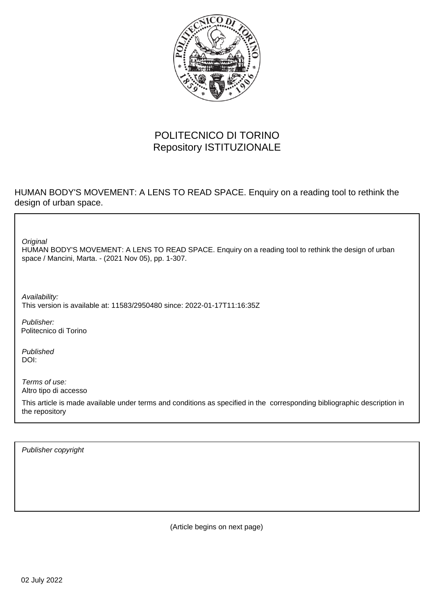

### POLITECNICO DI TORINO Repository ISTITUZIONALE

#### HUMAN BODY'S MOVEMENT: A LENS TO READ SPACE. Enquiry on a reading tool to rethink the design of urban space.

**Original** 

HUMAN BODY'S MOVEMENT: A LENS TO READ SPACE. Enquiry on a reading tool to rethink the design of urban space / Mancini, Marta. - (2021 Nov 05), pp. 1-307.

Availability: This version is available at: 11583/2950480 since: 2022-01-17T11:16:35Z

Publisher: Politecnico di Torino

Published DOI:

Terms of use: Altro tipo di accesso

This article is made available under terms and conditions as specified in the corresponding bibliographic description in the repository

Publisher copyright

(Article begins on next page)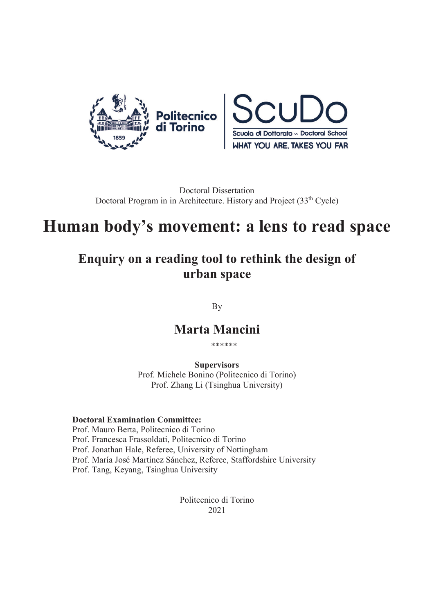

Doctoral Dissertation Doctoral Program in in Architecture. History and Project (33<sup>th</sup> Cycle)

# **Human body's movement: a lens to read space**

# **Enquiry on a reading tool to rethink the design of urban space**

By

### **Marta Mancini**

\*\*\*\*\*\*

**Supervisors** Prof. Michele Bonino (Politecnico di Torino) Prof. Zhang Li (Tsinghua University)

#### **Doctoral Examination Committee:**

Prof. Mauro Berta, Politecnico di Torino Prof. Francesca Frassoldati, Politecnico di Torino Prof. Jonathan Hale, Referee, University of Nottingham Prof. María José Martínez Sánchez, Referee, Staffordshire University Prof. Tang, Keyang, Tsinghua University

> Politecnico di Torino 2021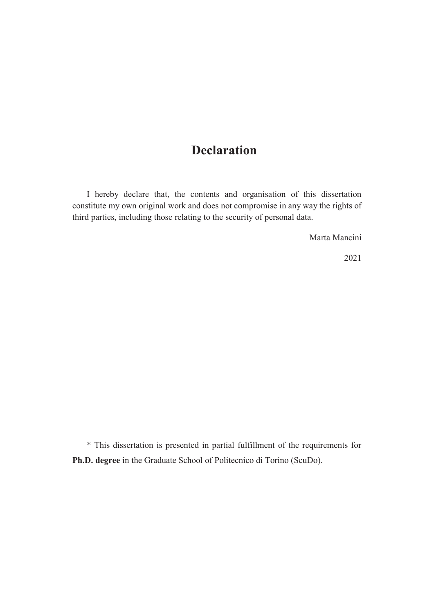# **Declaration**

I hereby declare that, the contents and organisation of this dissertation constitute my own original work and does not compromise in any way the rights of third parties, including those relating to the security of personal data.

Marta Mancini

2021

\* This dissertation is presented in partial fulfillment of the requirements for **Ph.D. degree** in the Graduate School of Politecnico di Torino (ScuDo).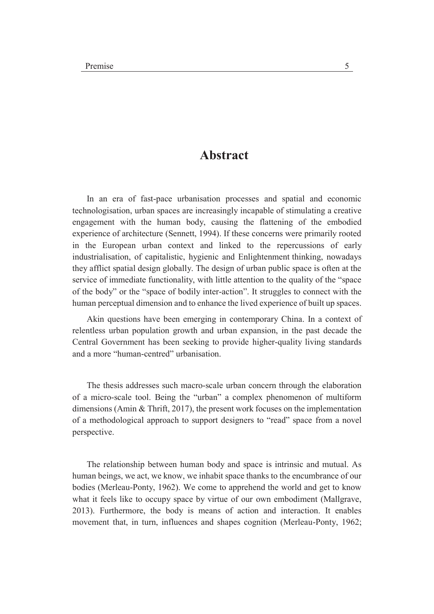#### **Abstract**

In an era of fast-pace urbanisation processes and spatial and economic technologisation, urban spaces are increasingly incapable of stimulating a creative engagement with the human body, causing the flattening of the embodied experience of architecture (Sennett, 1994). If these concerns were primarily rooted in the European urban context and linked to the repercussions of early industrialisation, of capitalistic, hygienic and Enlightenment thinking, nowadays they afflict spatial design globally. The design of urban public space is often at the service of immediate functionality, with little attention to the quality of the "space of the body" or the "space of bodily inter-action". It struggles to connect with the human perceptual dimension and to enhance the lived experience of built up spaces.

Akin questions have been emerging in contemporary China. In a context of relentless urban population growth and urban expansion, in the past decade the Central Government has been seeking to provide higher-quality living standards and a more "human-centred" urbanisation.

The thesis addresses such macro-scale urban concern through the elaboration of a micro-scale tool. Being the "urban" a complex phenomenon of multiform dimensions (Amin & Thrift, 2017), the present work focuses on the implementation of a methodological approach to support designers to "read" space from a novel perspective.

The relationship between human body and space is intrinsic and mutual. As human beings, we act, we know, we inhabit space thanks to the encumbrance of our bodies (Merleau-Ponty, 1962). We come to apprehend the world and get to know what it feels like to occupy space by virtue of our own embodiment (Mallgrave, 2013). Furthermore, the body is means of action and interaction. It enables movement that, in turn, influences and shapes cognition (Merleau-Ponty, 1962;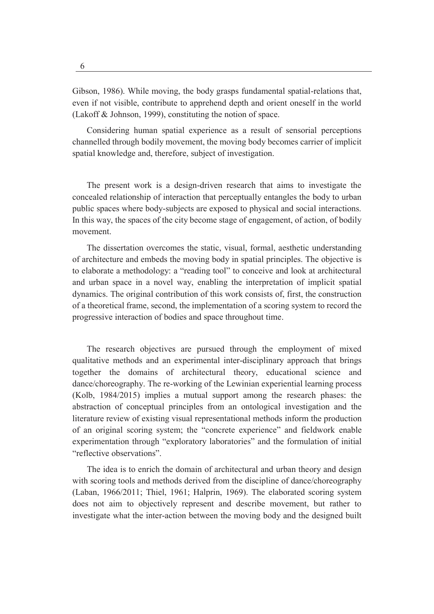Gibson, 1986). While moving, the body grasps fundamental spatial-relations that, even if not visible, contribute to apprehend depth and orient oneself in the world (Lakoff & Johnson, 1999), constituting the notion of space.

Considering human spatial experience as a result of sensorial perceptions channelled through bodily movement, the moving body becomes carrier of implicit spatial knowledge and, therefore, subject of investigation.

The present work is a design-driven research that aims to investigate the concealed relationship of interaction that perceptually entangles the body to urban public spaces where body-subjects are exposed to physical and social interactions. In this way, the spaces of the city become stage of engagement, of action, of bodily movement.

The dissertation overcomes the static, visual, formal, aesthetic understanding of architecture and embeds the moving body in spatial principles. The objective is to elaborate a methodology: a "reading tool" to conceive and look at architectural and urban space in a novel way, enabling the interpretation of implicit spatial dynamics. The original contribution of this work consists of, first, the construction of a theoretical frame, second, the implementation of a scoring system to record the progressive interaction of bodies and space throughout time.

The research objectives are pursued through the employment of mixed qualitative methods and an experimental inter-disciplinary approach that brings together the domains of architectural theory, educational science and dance/choreography. The re-working of the Lewinian experiential learning process (Kolb, 1984/2015) implies a mutual support among the research phases: the abstraction of conceptual principles from an ontological investigation and the literature review of existing visual representational methods inform the production of an original scoring system; the "concrete experience" and fieldwork enable experimentation through "exploratory laboratories" and the formulation of initial "reflective observations".

The idea is to enrich the domain of architectural and urban theory and design with scoring tools and methods derived from the discipline of dance/choreography (Laban, 1966/2011; Thiel, 1961; Halprin, 1969). The elaborated scoring system does not aim to objectively represent and describe movement, but rather to investigate what the inter-action between the moving body and the designed built